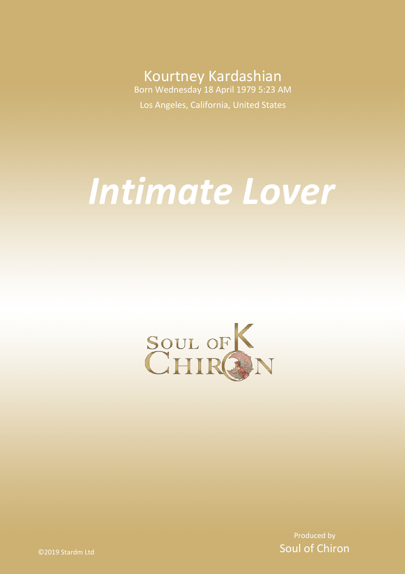Kourtney Kardashian Born Wednesday 18 April 1979 5:23 AM

Los Angeles, California, United States

# *Intimate Lover*



Produced by Soul of Chiron

©2019 Stardm Ltd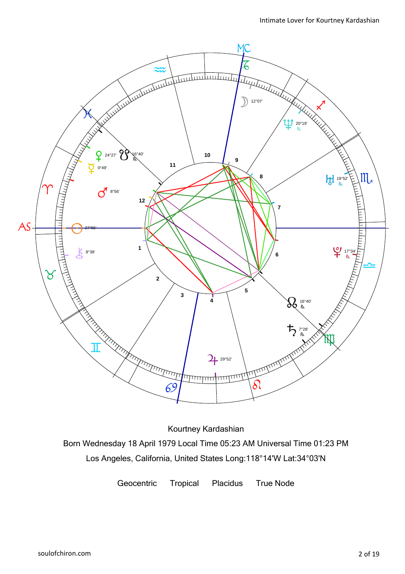

Kourtney Kardashian

Born Wednesday 18 April 1979 Local Time 05:23 AM Universal Time 01:23 PM Los Angeles, California, United States Long:118°14'W Lat:34°03'N

Geocentric Tropical Placidus True Node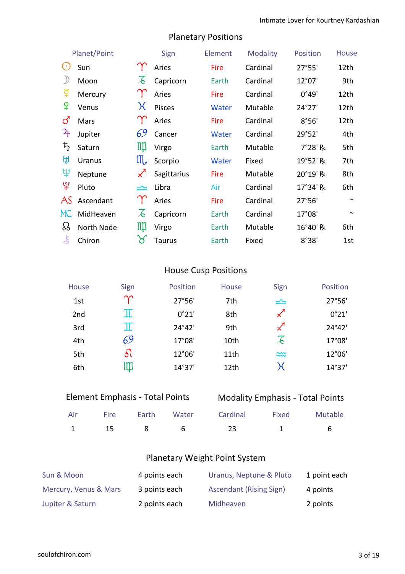| Planet/Point                                                     |               | Sign                       | Element     | <b>Modality</b> | <b>Position</b> | <b>House</b> |        |
|------------------------------------------------------------------|---------------|----------------------------|-------------|-----------------|-----------------|--------------|--------|
| $\left( \begin{array}{c} \bullet \\ \bullet \end{array} \right)$ | Sun           |                            | Aries       | Fire            | Cardinal        | 27°55'       | 12th   |
| )                                                                | Moon          | $\mathcal{A}$              | Capricorn   | Earth           | Cardinal        | 12°07'       | 9th    |
| ទ្                                                               | Mercury       |                            | Aries       | Fire            | Cardinal        | 0°49'        | 12th   |
| ¥                                                                | Venus         | $\chi$                     | Pisces      | <b>Water</b>    | Mutable         | 24°27'       | 12th   |
| ්                                                                | Mars          |                            | Aries       | Fire            | Cardinal        | 8°56'        | 12th   |
| $\mathcal{L}_{\mathsf{F}}$                                       | Jupiter       | 69                         | Cancer      | <b>Water</b>    | Cardinal        | 29°52'       | 4th    |
| $\bm{\mathit{t}}_{2}$                                            | Saturn        | Щ                          | Virgo       | Earth           | Mutable         | 7°28' R      | 5th    |
| ਮ੍ਹਿ                                                             | <b>Uranus</b> | $\mathfrak{m}$             | Scorpio     | Water           | Fixed           | 19°52' R     | 7th    |
| Ψ                                                                | Neptune       | $\boldsymbol{\mathcal{K}}$ | Sagittarius | Fire            | Mutable         | 20°19' R     | 8th    |
| ೪                                                                | Pluto         | ≃                          | Libra       | Air             | Cardinal        | 17°34' R     | 6th    |
| AS                                                               | Ascendant     |                            | Aries       | Fire            | Cardinal        | 27°56'       | $\sim$ |
| MC                                                               | MidHeaven     | $\lambda$                  | Capricorn   | Earth           | Cardinal        | 17°08'       | $\sim$ |
| 88                                                               | North Node    | Щ                          | Virgo       | Earth           | Mutable         | 16°40' R     | 6th    |
| 飞                                                                | Chiron        | ୪                          | Taurus      | Earth           | Fixed           | 8°38'        | 1st    |

### Planetary Positions

### House Cusp Positions

| House           | Sign        | Position        | House | Sign                       | Position |
|-----------------|-------------|-----------------|-------|----------------------------|----------|
| 1st             | $\gamma$    | 27°56'          | 7th   | $\equiv$                   | 27°56'   |
| 2 <sub>nd</sub> | $\mathbb T$ | 0°21'           | 8th   | $\boldsymbol{\mathcal{Z}}$ | 0°21'    |
| 3rd             | $\mathbb I$ | $24^{\circ}42'$ | 9th   | $\mathscr{L}$              | 24°42'   |
| 4th             | 69          | 17°08'          | 10th  | $\overline{\mathcal{L}}$   | 17°08'   |
| 5th             | δl          | 12°06'          | 11th  | $\widetilde{\sim}$         | 12°06'   |
| 6th             | Щ           | 14°37'          | 12th  | χ                          | 14°37'   |

| <b>Element Emphasis - Total Points</b> |  |  |
|----------------------------------------|--|--|
|----------------------------------------|--|--|

### Modality Emphasis - Total Points

|  |  | Air Fire Earth Water Cardinal Fixed Mutable |  |
|--|--|---------------------------------------------|--|
|  |  | 1 15 8 6 23 1 6                             |  |

### Planetary Weight Point System

| Sun & Moon            | 4 points each | Uranus, Neptune & Pluto        | 1 point each |
|-----------------------|---------------|--------------------------------|--------------|
| Mercury, Venus & Mars | 3 points each | <b>Ascendant (Rising Sign)</b> | 4 points     |
| Jupiter & Saturn      | 2 points each | Midheaven                      | 2 points     |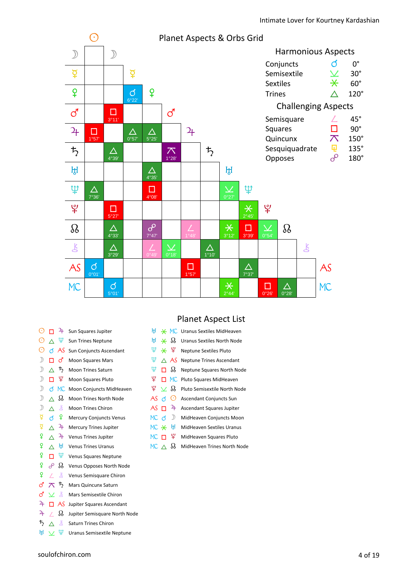

| $_{\odot}$        |              | 4               | Sun Squares Jupiter            |
|-------------------|--------------|-----------------|--------------------------------|
| ⊙                 | Λ            | Ψ               | <b>Sun Trines Neptune</b>      |
| $_{\odot}$        |              | ය AS            | Sun Conjuncts Ascendant        |
| $\mathcal{D}$     | п            | ර               | <b>Moon Squares Mars</b>       |
| $\mathcal{D}$     | $\wedge$     | $\bm{\ddot{5}}$ | <b>Moon Trines Saturn</b>      |
| $\mathcal{D}$     | п            | ¥               | Moon Squares Pluto             |
| $\mathcal{D}$     | ൪            | МC              | Moon Conjuncts MidHeaven       |
| $\mathcal{D}$     | Λ            | B               | Moon Trines North Node         |
| $\mathcal{D}$     | Λ            | Ľ               | <b>Moon Trines Chiron</b>      |
| ¥                 | đ            | ¥               | <b>Mercury Conjuncts Venus</b> |
| ¥                 | Δ            | 4               | <b>Mercury Trines Jupiter</b>  |
| ¥                 | Λ            | 4               | Venus Trines Jupiter           |
| ¥                 | Λ            | ਸ਼੍ਰ            | <b>Venus Trines Uranus</b>     |
| ¥                 | п            | Ψ               | <b>Venus Squares Neptune</b>   |
| ₽                 | ൙            | B               | Venus Opposes North Node       |
| ¥                 |              | Ŗ               | Venus Semisquare Chiron        |
| ď                 | $\pi$        | $\bm{\bar{5}}$  | <b>Mars Quincunx Saturn</b>    |
| ර                 | $\checkmark$ | 飞               | Mars Semisextile Chiron        |
| 4                 |              | AS.             | Jupiter Squares Ascendant      |
| 4                 |              | B               | Jupiter Semisquare North Node  |
| $\mathcal{L}_{2}$ |              | Ľ               | <b>Saturn Trines Chiron</b>    |

 $\mathbb{H} \times \mathbb{P}$  Uranus Semisextile Neptune

### Planet Aspect List

| Щ.     |                                  | $*$ MC        | Uranus Sextiles MidHeaven               |
|--------|----------------------------------|---------------|-----------------------------------------|
|        | $H \times \mathcal{B}$           |               | <b>Uranus Sextiles North Node</b>       |
| Ψ      |                                  |               | $\frac{1}{2}$ Neptune Sextiles Pluto    |
| Ψ      |                                  |               | $\triangle$ AS Neptune Trines Ascendant |
| Ψ      |                                  | ⊓ &           | Neptune Squares North Node              |
|        |                                  |               | Ψ □ MC Pluto Squares MidHeaven          |
|        | $\mathcal{L} \times \mathcal{B}$ |               | Pluto Semisextile North Node            |
| AS 1 0 |                                  |               | <b>Ascendant Conjuncts Sun</b>          |
| AS ⊡   |                                  | $\rightarrow$ | Ascendant Squares Jupiter               |
| MC d   |                                  | $\mathbb{D}$  | MidHeaven Conjuncts Moon                |
|        |                                  |               | MidHeaven Sextiles Uranus               |
|        |                                  | МС ロ 毕        | MidHeaven Squares Pluto                 |
| MC ∧   |                                  | δś            | MidHeaven Trines North Node             |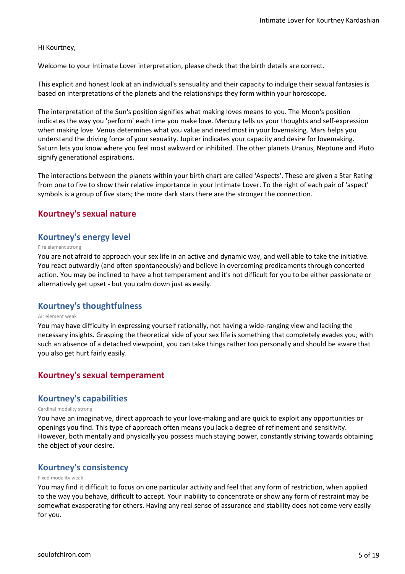#### Hi Kourtney,

Welcome to your Intimate Lover interpretation, please check that the birth details are correct.

This explicit and honest look at an individual's sensuality and their capacity to indulge their sexual fantasies is based on interpretations of the planets and the relationships they form within your horoscope.

The interpretation of the Sun's position signifies what making loves means to you. The Moon's position indicates the way you 'perform' each time you make love. Mercury tells us your thoughts and self-expression when making love. Venus determines what you value and need most in your lovemaking. Mars helps you understand the driving force of your sexuality. Jupiter indicates your capacity and desire for lovemaking. Saturn lets you know where you feel most awkward or inhibited. The other planets Uranus, Neptune and Pluto signify generational aspirations.

The interactions between the planets within your birth chart are called 'Aspects'. These are given a Star Rating from one to five to show their relative importance in your Intimate Lover. To the right of each pair of 'aspect' symbols is a group of five stars; the more dark stars there are the stronger the connection.

#### **Kourtney's sexual nature**

#### **Kourtney's energy level**

#### Fire element strong

You are not afraid to approach your sex life in an active and dynamic way, and well able to take the initiative. You react outwardly (and often spontaneously) and believe in overcoming predicaments through concerted action. You may be inclined to have a hot temperament and it's not difficult for you to be either passionate or alternatively get upset - but you calm down just as easily.

#### **Kourtney's thoughtfulness**

#### Air element weak

You may have difficulty in expressing yourself rationally, not having a wide-ranging view and lacking the necessary insights. Grasping the theoretical side of your sex life is something that completely evades you; with such an absence of a detached viewpoint, you can take things rather too personally and should be aware that you also get hurt fairly easily.

#### **Kourtney's sexual temperament**

#### **Kourtney's capabilities**

#### Cardinal modality strong

You have an imaginative, direct approach to your love-making and are quick to exploit any opportunities or openings you find. This type of approach often means you lack a degree of refinement and sensitivity. However, both mentally and physically you possess much staying power, constantly striving towards obtaining the object of your desire.

#### **Kourtney's consistency**

#### Fixed modality weak

You may find it difficult to focus on one particular activity and feel that any form of restriction, when applied to the way you behave, difficult to accept. Your inability to concentrate or show any form of restraint may be somewhat exasperating for others. Having any real sense of assurance and stability does not come very easily for you.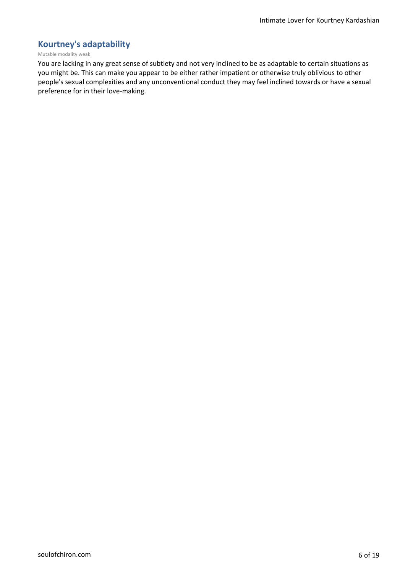### **Kourtney's adaptability**

#### Mutable modality weak

You are lacking in any great sense of subtlety and not very inclined to be as adaptable to certain situations as you might be. This can make you appear to be either rather impatient or otherwise truly oblivious to other people's sexual complexities and any unconventional conduct they may feel inclined towards or have a sexual preference for in their love-making.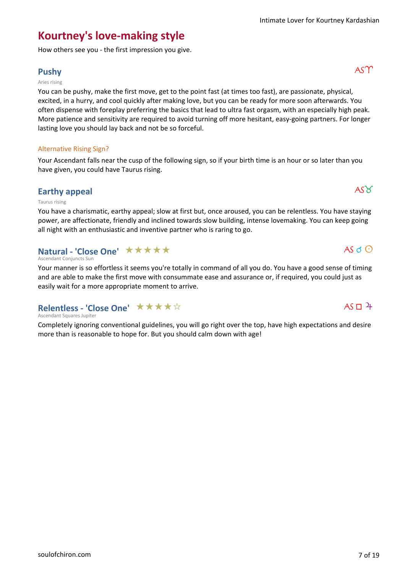### **Kourtney's love-making style**

How others see you - the first impression you give.

### **Pushy** ASM

#### Aries rising

You can be pushy, make the first move, get to the point fast (at times too fast), are passionate, physical, excited, in a hurry, and cool quickly after making love, but you can be ready for more soon afterwards. You often dispense with foreplay preferring the basics that lead to ultra fast orgasm, with an especially high peak. More patience and sensitivity are required to avoid turning off more hesitant, easy-going partners. For longer lasting love you should lay back and not be so forceful.

#### Alternative Rising Sign?

Your Ascendant falls near the cusp of the following sign, so if your birth time is an hour or so later than you have given, you could have Taurus rising.

### **Earthy appeal**  $\overrightarrow{AS\varnothing}$

#### Taurus rising

You have a charismatic, earthy appeal; slow at first but, once aroused, you can be relentless. You have staying power, are affectionate, friendly and inclined towards slow building, intense lovemaking. You can keep going all night with an enthusiastic and inventive partner who is raring to go.

### **Natural - 'Close One' ★★★★★**

#### Ascendant Conjuncts Sun

Your manner is so effortless it seems you're totally in command of all you do. You have a good sense of timing and are able to make the first move with consummate ease and assurance or, if required, you could just as easily wait for a more appropriate moment to arrive.

### **Relentless - 'Close One'** ★★★★☆

#### Ascendant Squares Jupiter

Completely ignoring conventional guidelines, you will go right over the top, have high expectations and desire more than is reasonable to hope for. But you should calm down with age!

### $AS \Box 4$

 $AS \circ O$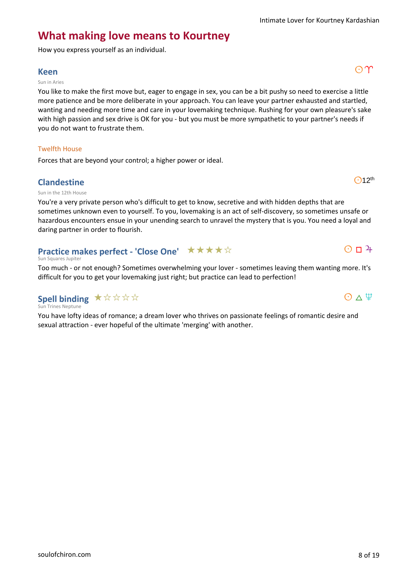$O$ 12<sup>th</sup>

 $O$   $\Box$   $4$ 

 $O \wedge \Psi$ 

### **What making love means to Kourtney**

How you express yourself as an individual.

### **Keen** and an analysis of  $\mathbb{C}[\Upsilon]$

#### Sun in Aries

You like to make the first move but, eager to engage in sex, you can be a bit pushy so need to exercise a little more patience and be more deliberate in your approach. You can leave your partner exhausted and startled, wanting and needing more time and care in your lovemaking technique. Rushing for your own pleasure's sake with high passion and sex drive is OK for you - but you must be more sympathetic to your partner's needs if you do not want to frustrate them.

#### Twelfth House

Forces that are beyond your control; a higher power or ideal.

#### **Clandestine**

Sun in the 12th House

You're a very private person who's difficult to get to know, secretive and with hidden depths that are sometimes unknown even to yourself. To you, lovemaking is an act of self-discovery, so sometimes unsafe or hazardous encounters ensue in your unending search to unravel the mystery that is you. You need a loyal and daring partner in order to flourish.

#### **Practice makes perfect - 'Close One'** ★★★★☆

#### Sun Squares Jupiter

Too much - or not enough? Sometimes overwhelming your lover - sometimes leaving them wanting more. It's difficult for you to get your lovemaking just right; but practice can lead to perfection!

### **Spell binding ★☆☆☆☆**

Sun Trines Neptune

You have lofty ideas of romance; a dream lover who thrives on passionate feelings of romantic desire and sexual attraction - ever hopeful of the ultimate 'merging' with another.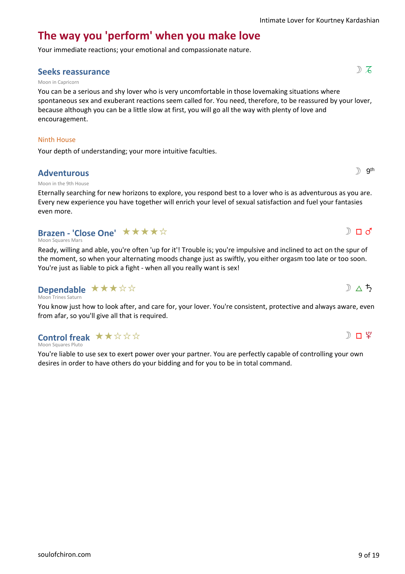# **The way you 'perform' when you make love**

Your immediate reactions; your emotional and compassionate nature.

### **Seeks reassurance** show that the set of  $\mathbb{R}$  is  $\mathbb{S}$  is  $\mathbb{S}$  is  $\mathbb{S}$  is  $\mathbb{S}$  is  $\mathbb{S}$  is  $\mathbb{S}$  is  $\mathbb{S}$  is  $\mathbb{S}$  is  $\mathbb{S}$  is  $\mathbb{S}$  is  $\mathbb{S}$  is  $\mathbb{S}$  is  $\mathbb{S}$  is  $\mathbb{S}$  is

#### Moon in Capricorn

You can be a serious and shy lover who is very uncomfortable in those lovemaking situations where spontaneous sex and exuberant reactions seem called for. You need, therefore, to be reassured by your lover, because although you can be a little slow at first, you will go all the way with plenty of love and encouragement.

#### Ninth House

Your depth of understanding; your more intuitive faculties.

#### **Adventurous**

#### Moon in the 9th House

Eternally searching for new horizons to explore, you respond best to a lover who is as adventurous as you are. Every new experience you have together will enrich your level of sexual satisfaction and fuel your fantasies even more.

### **Brazen - 'Close One' ★★★★**☆

Moon Squares Mars

Ready, willing and able, you're often 'up for it'! Trouble is; you're impulsive and inclined to act on the spur of the moment, so when your alternating moods change just as swiftly, you either orgasm too late or too soon. You're just as liable to pick a fight - when all you really want is sex!

#### Moon Trines Saturn **Dependable** \*\*\*\*\*

You know just how to look after, and care for, your lover. You're consistent, protective and always aware, even from afar, so you'll give all that is required.

### **Control freak**  $\star \star \star \star \star \star$

Moon Squares Pluto

You're liable to use sex to exert power over your partner. You are perfectly capable of controlling your own desires in order to have others do your bidding and for you to be in total command.



 $D \wedge 5$ 





 $\mathbb{D}$  gth

 $D \Pi d'$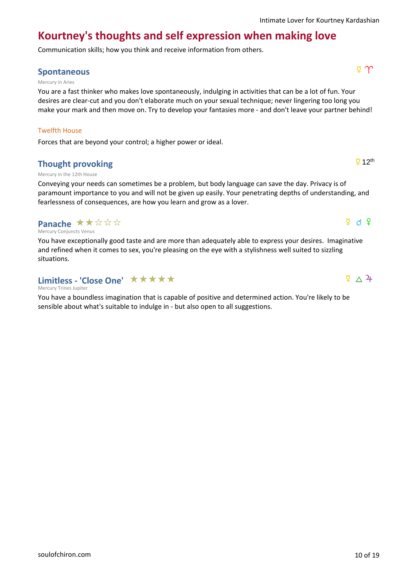# **Kourtney's thoughts and self expression when making love**

Communication skills; how you think and receive information from others.

### **Spontaneous** d 1

#### Mercury in Aries

You are a fast thinker who makes love spontaneously, indulging in activities that can be a lot of fun. Your desires are clear-cut and you don't elaborate much on your sexual technique; never lingering too long you make your mark and then move on. Try to develop your fantasies more - and don't leave your partner behind!

#### Twelfth House

Forces that are beyond your control; a higher power or ideal.

### **Thought provoking**

#### Mercury in the 12th House

Conveying your needs can sometimes be a problem, but body language can save the day. Privacy is of paramount importance to you and will not be given up easily. Your penetrating depths of understanding, and fearlessness of consequences, are how you learn and grow as a lover.

### **Panache ★★☆☆☆**

Mercury Conjuncts Venus

You have exceptionally good taste and are more than adequately able to express your desires. Imaginative and refined when it comes to sex, you're pleasing on the eye with a stylishness well suited to sizzling situations.

### Limitless - 'Close One' **★★★★★**

Mercury Trines Jupiter

You have a boundless imagination that is capable of positive and determined action. You're likely to be sensible about what's suitable to indulge in - but also open to all suggestions.



 $\Phi$  d  $\Phi$ 

 $\overline{2}$  12<sup>th</sup>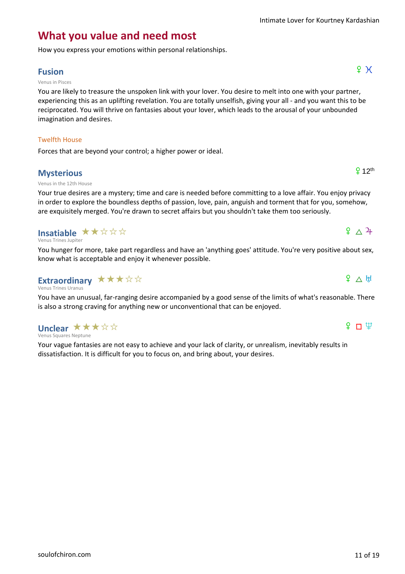### **What you value and need most**

How you express your emotions within personal relationships.

### **Fusion**  $\qquad \qquad \qquad$   $\qquad \qquad$   $\qquad \qquad$   $\qquad \qquad$   $\qquad \qquad$   $\qquad \qquad$   $\qquad \qquad$   $\qquad \qquad$   $\qquad \qquad$   $\qquad \qquad$   $\qquad \qquad$   $\qquad \qquad$   $\qquad \qquad$   $\qquad \qquad$   $\qquad \qquad$   $\qquad \qquad$   $\qquad \qquad$   $\qquad \qquad$   $\qquad \qquad$   $\qquad \qquad$   $\qquad \qquad$   $\qquad \qquad$   $\qquad \qquad$   $\$

#### Venus in Pisces

You are likely to treasure the unspoken link with your lover. You desire to melt into one with your partner, experiencing this as an uplifting revelation. You are totally unselfish, giving your all - and you want this to be reciprocated. You will thrive on fantasies about your lover, which leads to the arousal of your unbounded imagination and desires.

#### Twelfth House

Forces that are beyond your control; a higher power or ideal.

### **Mysterious**

#### Venus in the 12th House

Your true desires are a mystery; time and care is needed before committing to a love affair. You enjoy privacy in order to explore the boundless depths of passion, love, pain, anguish and torment that for you, somehow, are exquisitely merged. You're drawn to secret affairs but you shouldn't take them too seriously.

### **Insatiable ★★☆☆☆**

#### Venus Trines Jupiter

You hunger for more, take part regardless and have an 'anything goes' attitude. You're very positive about sex, know what is acceptable and enjoy it whenever possible.

#### Venus Trines Uranus **Extraordinary** ★★★☆☆

You have an unusual, far-ranging desire accompanied by a good sense of the limits of what's reasonable. There is also a strong craving for anything new or unconventional that can be enjoyed.

#### Venus Squares Neptune **Unclear ★★★☆☆**

Your vague fantasies are not easy to achieve and your lack of clarity, or unrealism, inevitably results in dissatisfaction. It is difficult for you to focus on, and bring about, your desires.

### $P \cap \Psi$

### $912$ <sup>th</sup>

# $P \triangle H$

# $9^{\circ}$   $\wedge$   $3^{\circ}$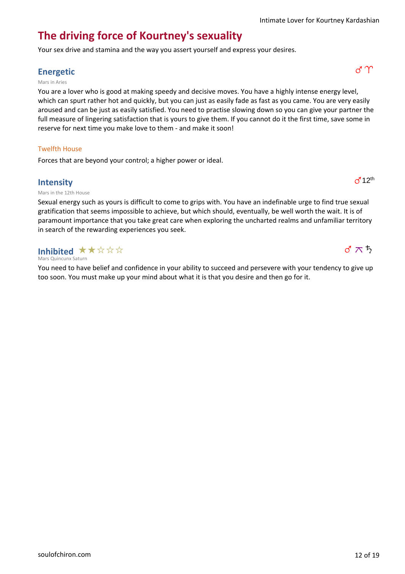### **The driving force of Kourtney's sexuality**

Your sex drive and stamina and the way you assert yourself and express your desires.

### **Energetic** g1

#### Mars in Aries

You are a lover who is good at making speedy and decisive moves. You have a highly intense energy level, which can spurt rather hot and quickly, but you can just as easily fade as fast as you came. You are very easily aroused and can be just as easily satisfied. You need to practise slowing down so you can give your partner the full measure of lingering satisfaction that is yours to give them. If you cannot do it the first time, save some in reserve for next time you make love to them - and make it soon!

#### Twelfth House

Forces that are beyond your control; a higher power or ideal.

#### **Intensity**

Mars in the 12th House

Sexual energy such as yours is difficult to come to grips with. You have an indefinable urge to find true sexual gratification that seems impossible to achieve, but which should, eventually, be well worth the wait. It is of paramount importance that you take great care when exploring the uncharted realms and unfamiliar territory in search of the rewarding experiences you seek.

Mars Quincunx Saturn Inhibited  $\star \star \; \star \; \star \; \star$ 

You need to have belief and confidence in your ability to succeed and persevere with your tendency to give up too soon. You must make up your mind about what it is that you desire and then go for it.





### $\sigma$ <sup>12<sup>th</sup></sup>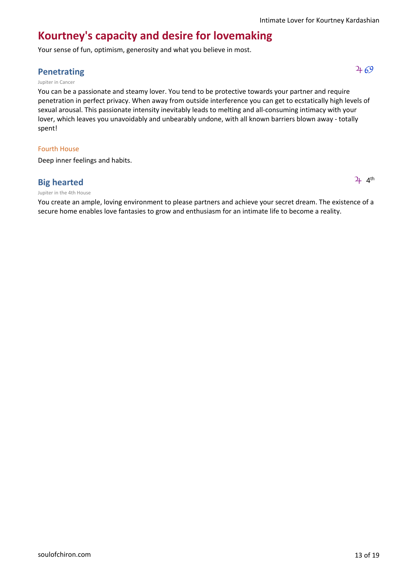### **Kourtney's capacity and desire for lovemaking**

Your sense of fun, optimism, generosity and what you believe in most.

### **Penetrating**  $\frac{1}{4}69$

#### Jupiter in Cancer

You can be a passionate and steamy lover. You tend to be protective towards your partner and require penetration in perfect privacy. When away from outside interference you can get to ecstatically high levels of sexual arousal. This passionate intensity inevitably leads to melting and all-consuming intimacy with your lover, which leaves you unavoidably and unbearably undone, with all known barriers blown away - totally spent!

#### Fourth House

Deep inner feelings and habits.

### **Big hearted**

#### Jupiter in the 4th House

You create an ample, loving environment to please partners and achieve your secret dream. The existence of a secure home enables love fantasies to grow and enthusiasm for an intimate life to become a reality.

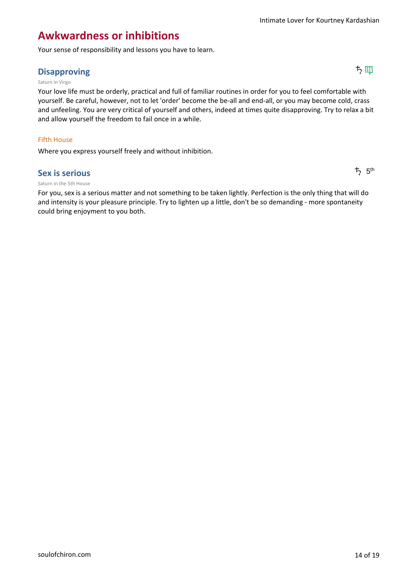### **Awkwardness or inhibitions**

Your sense of responsibility and lessons you have to learn.

### Disapproving ちゅうしゃ しょうしょう しょうしょう しょうしょう しょうしょう しょうしょう しょうしょう しょうしょう しょうしょう しょうしょう しょうしょう しょうしょう しょうしょう しょうしょう

#### Saturn in Virgo

Your love life must be orderly, practical and full of familiar routines in order for you to feel comfortable with yourself. Be careful, however, not to let 'order' become the be-all and end-all, or you may become cold, crass and unfeeling. You are very critical of yourself and others, indeed at times quite disapproving. Try to relax a bit and allow yourself the freedom to fail once in a while.

#### Fifth House

Where you express yourself freely and without inhibition.

#### **Sex is serious**

#### Saturn in the 5th House

For you, sex is a serious matter and not something to be taken lightly. Perfection is the only thing that will do and intensity is your pleasure principle. Try to lighten up a little, don't be so demanding - more spontaneity could bring enjoyment to you both.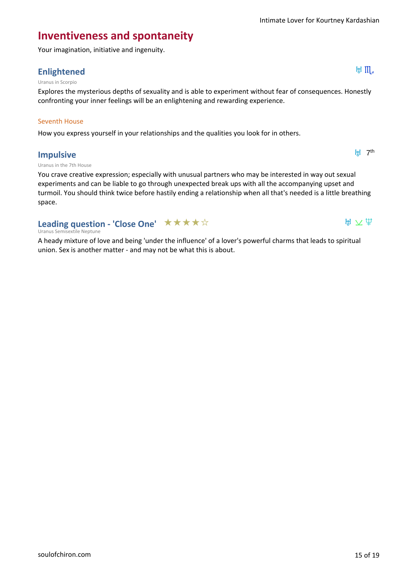### **Inventiveness and spontaneity**

Your imagination, initiative and ingenuity.

### **Enlightened** Enlightened

#### Uranus in Scorpio

Explores the mysterious depths of sexuality and is able to experiment without fear of consequences. Honestly confronting your inner feelings will be an enlightening and rewarding experience.

#### Seventh House

How you express yourself in your relationships and the qualities you look for in others.

#### **Impulsive**

H<sub>H</sub> 7<sup>th</sup>

 $H \times \Psi$ 

#### Uranus in the 7th House

You crave creative expression; especially with unusual partners who may be interested in way out sexual experiments and can be liable to go through unexpected break ups with all the accompanying upset and turmoil. You should think twice before hastily ending a relationship when all that's needed is a little breathing space.

### **Leading question - 'Close One'** ★★★★☆

#### Uranus Semisextile Neptune

A heady mixture of love and being 'under the influence' of a lover's powerful charms that leads to spiritual union. Sex is another matter - and may not be what this is about.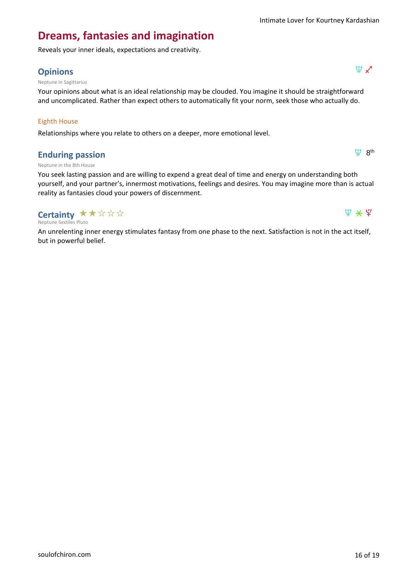$\Psi$  8<sup>th</sup>

 $\Psi$   $\star$   $\Psi$ 

### **Dreams, fantasies and imagination**

Reveals your inner ideals, expectations and creativity.

### **Opinions**  $\Psi \times$

Neptune in Sagittarius

Your opinions about what is an ideal relationship may be clouded. You imagine it should be straightforward and uncomplicated. Rather than expect others to automatically fit your norm, seek those who actually do.

#### Eighth House

Relationships where you relate to others on a deeper, more emotional level.

#### **Enduring passion**

Neptune in the 8th House

You seek lasting passion and are willing to expend a great deal of time and energy on understanding both yourself, and your partner's, innermost motivations, feelings and desires. You may imagine more than is actual reality as fantasies cloud your powers of discernment.

### **Certainty ★★☆☆☆**

Neptune Sextiles Pluto

An unrelenting inner energy stimulates fantasy from one phase to the next. Satisfaction is not in the act itself, but in powerful belief.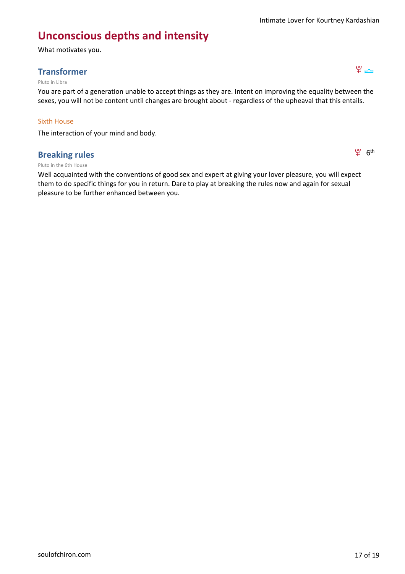### **Unconscious depths and intensity**

What motivates you.

### **Transformer**  $\mathfrak{P} \rightarrow$

#### Pluto in Libra

You are part of a generation unable to accept things as they are. Intent on improving the equality between the sexes, you will not be content until changes are brought about - regardless of the upheaval that this entails.

#### Sixth House

The interaction of your mind and body.

#### **Breaking rules**

 $94.6$ <sup>th</sup>

#### Pluto in the 6th House

Well acquainted with the conventions of good sex and expert at giving your lover pleasure, you will expect them to do specific things for you in return. Dare to play at breaking the rules now and again for sexual pleasure to be further enhanced between you.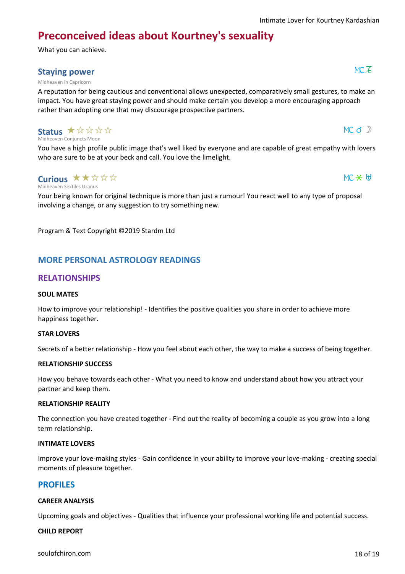$MC$  d  $D$ 

 $MC \times H$ 

## **Preconceived ideas about Kourtney's sexuality**

What you can achieve.

### **Staying power**  $MC\overline{6}$

#### Midheaven in Capricorn

A reputation for being cautious and conventional allows unexpected, comparatively small gestures, to make an impact. You have great staying power and should make certain you develop a more encouraging approach rather than adopting one that may discourage prospective partners.

#### Midheaven Conjuncts Moon Status \* \* \* \* \*

You have a high profile public image that's well liked by everyone and are capable of great empathy with lovers who are sure to be at your beck and call. You love the limelight.

#### Midheaven Sextiles Uranus **Curious ★★☆☆☆**

Your being known for original technique is more than just a rumour! You react well to any type of proposal involving a change, or any suggestion to try something new.

Program & Text Copyright ©2019 Stardm Ltd

### **MORE PERSONAL ASTROLOGY READINGS**

#### **RELATIONSHIPS**

#### **SOUL MATES**

How to improve your relationship! - Identifies the positive qualities you share in order to achieve more happiness together.

#### **STAR LOVERS**

Secrets of a better relationship - How you feel about each other, the way to make a success of being together.

#### **RELATIONSHIP SUCCESS**

How you behave towards each other - What you need to know and understand about how you attract your partner and keep them.

#### **RELATIONSHIP REALITY**

The connection you have created together - Find out the reality of becoming a couple as you grow into a long term relationship.

#### **INTIMATE LOVERS**

Improve your love-making styles - Gain confidence in your ability to improve your love-making - creating special moments of pleasure together.

#### **PROFILES**

#### **CAREER ANALYSIS**

Upcoming goals and objectives - Qualities that influence your professional working life and potential success.

#### **CHILD REPORT**